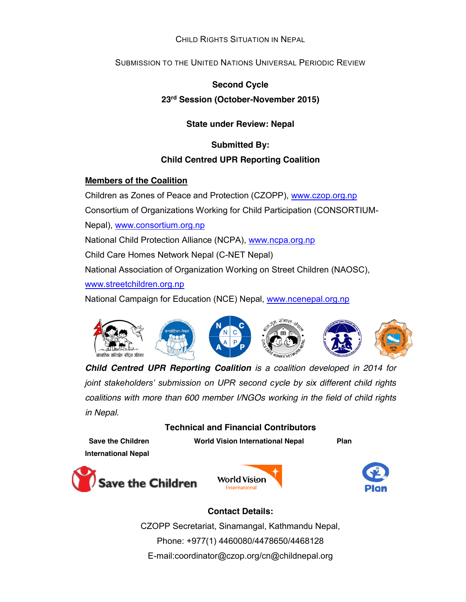## CHILD RIGHTS SITUATION IN NEPAL

# SUBMISSION TO THE UNITED NATIONS UNIVERSAL PERIODIC REVIEW

### **Second Cycle**

## **23rd Session (October-November 2015)**

**State under Review: Nepal**

**Submitted By:**

## **Child Centred UPR Reporting Coalition**

### **Members of the Coalition**

Children as Zones of Peace and Protection (CZOPP), www.czop.org.np

Consortium of Organizations Working for Child Participation (CONSORTIUM-

Nepal), www.consortium.org.np

National Child Protection Alliance (NCPA), www.ncpa.org.np

Child Care Homes Network Nepal (C-NET Nepal)

National Association of Organization Working on Street Children (NAOSC),

www.streetchildren.org.np

National Campaign for Education (NCE) Nepal, www.ncenepal.org.np



*Child Centred UPR Reporting Coalition is a coalition developed in 2014 for joint stakeholders' submission on UPR second cycle by six different child rights coalitions with more than 600 member I/NGOs working in the field of child rights in Nepal.*

## **Technical and Financial Contributors**

Save the Children **World Vision International Nepal** Plan **International Nepal**

Save the Children





# **Contact Details:**

CZOPP Secretariat, Sinamangal, Kathmandu Nepal, Phone: +977(1) 4460080/4478650/4468128 E-mail:coordinator@czop.org/cn@childnepal.org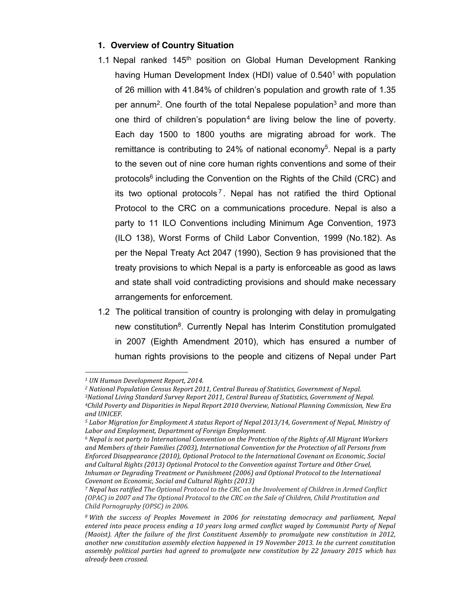### **1. Overview of Country Situation**

- 1.1 Nepal ranked  $145<sup>th</sup>$  position on Global Human Development Ranking having Human Development Index (HDI) value of 0.540<sup>1</sup> with population of 26 million with 41.84% of children's population and growth rate of 1.35 per annum<sup>2</sup>. One fourth of the total Nepalese population<sup>3</sup> and more than one third of children's population<sup>4</sup> are living below the line of poverty. Each day 1500 to 1800 youths are migrating abroad for work. The remittance is contributing to 24% of national economy<sup>5</sup>. Nepal is a party to the seven out of nine core human rights conventions and some of their protocols6 including the Convention on the Rights of the Child (CRC) and its two optional protocols<sup>7</sup>. Nepal has not ratified the third Optional Protocol to the CRC on a communications procedure. Nepal is also a party to 11 ILO Conventions including Minimum Age Convention, 1973 (ILO 138), Worst Forms of Child Labor Convention, 1999 (No.182). As per the Nepal Treaty Act 2047 (1990), Section 9 has provisioned that the treaty provisions to which Nepal is a party is enforceable as good as laws and state shall void contradicting provisions and should make necessary arrangements for enforcement.
- 1.2 The political transition of country is prolonging with delay in promulgating new constitution<sup>8</sup>. Currently Nepal has Interim Constitution promulgated in 2007 (Eighth Amendment 2010), which has ensured a number of human rights provisions to the people and citizens of Nepal under Part

*<sup>1</sup> UN Human Development Report, 2014.*

*<sup>2</sup> National Population Census Report 2011, Central Bureau of Statistics, Government of Nepal.*

*<sup>3</sup>National Living Standard Survey Report 2011, Central Bureau of Statistics, Government of Nepal.*

*<sup>4</sup>Child Poverty and Disparities in Nepal Report 2010 Overview, National Planning Commission, New Era and UNICEF.* 

*<sup>5</sup> Labor Migration for Employment A status Report of Nepal 2013/14, Government of Nepal, Ministry of Labor and Employment, Department of Foreign Employment.*

*<sup>6</sup> Nepal is not party to International Convention on the Protection of the Rights of All Migrant Workers and Members of their Families (2003), International Convention for the Protection of all Persons from Enforced Disappearance (2010), Optional Protocol to the International Covenant on Economic, Social and Cultural Rights (2013) Optional Protocol to the Convention against Torture and Other Cruel, Inhuman or Degrading Treatment or Punishment (2006) and Optional Protocol to the International Covenant on Economic, Social and Cultural Rights (2013)* 

*<sup>7</sup> Nepal has ratified The Optional Protocol to the CRC on the Involvement of Children in Armed Conflict (OPAC) in 2007 and The Optional Protocol to the CRC on the Sale of Children, Child Prostitution and Child Pornography (OPSC) in 2006.*

*<sup>8</sup> With the success of Peoples Movement in 2006 for reinstating democracy and parliament, Nepal entered into peace process ending a 10 years long armed conflict waged by Communist Party of Nepal (Maoist). After the failure of the first Constituent Assembly to promulgate new constitution in 2012, another new constitution assembly election happened in 19 November 2013. In the current constitution assembly political parties had agreed to promulgate new constitution by 22 January 2015 which has already been crossed.*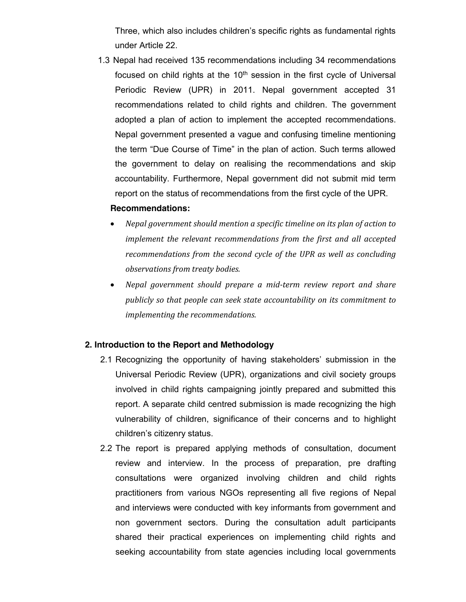Three, which also includes children's specific rights as fundamental rights under Article 22.

1.3 Nepal had received 135 recommendations including 34 recommendations focused on child rights at the  $10<sup>th</sup>$  session in the first cycle of Universal Periodic Review (UPR) in 2011. Nepal government accepted 31 recommendations related to child rights and children. The government adopted a plan of action to implement the accepted recommendations. Nepal government presented a vague and confusing timeline mentioning the term "Due Course of Time" in the plan of action. Such terms allowed the government to delay on realising the recommendations and skip accountability. Furthermore, Nepal government did not submit mid term report on the status of recommendations from the first cycle of the UPR.

#### **Recommendations:**

- x *Nepal government should mention a specific timeline on its plan of action to implement the relevant recommendations from the first and all accepted recommendations from the second cycle of the UPR as well as concluding observations from treaty bodies.*
- x *Nepal government should prepare a mid-term review report and share publicly so that people can seek state accountability on its commitment to implementing the recommendations.*

#### **2. Introduction to the Report and Methodology**

- 2.1 Recognizing the opportunity of having stakeholders' submission in the Universal Periodic Review (UPR), organizations and civil society groups involved in child rights campaigning jointly prepared and submitted this report. A separate child centred submission is made recognizing the high vulnerability of children, significance of their concerns and to highlight children's citizenry status.
- 2.2 The report is prepared applying methods of consultation, document review and interview. In the process of preparation, pre drafting consultations were organized involving children and child rights practitioners from various NGOs representing all five regions of Nepal and interviews were conducted with key informants from government and non government sectors. During the consultation adult participants shared their practical experiences on implementing child rights and seeking accountability from state agencies including local governments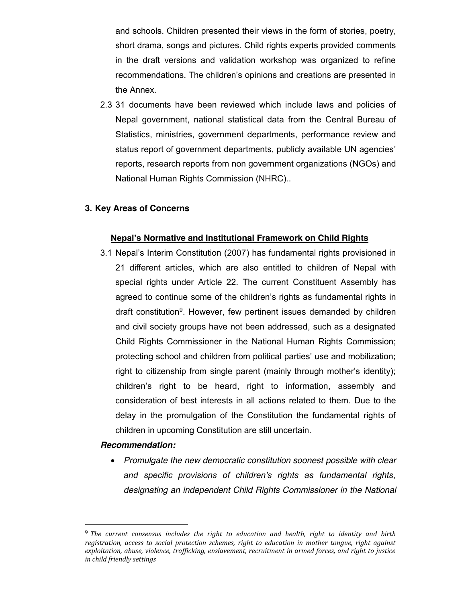and schools. Children presented their views in the form of stories, poetry, short drama, songs and pictures. Child rights experts provided comments in the draft versions and validation workshop was organized to refine recommendations. The children's opinions and creations are presented in the Annex.

2.3 31 documents have been reviewed which include laws and policies of Nepal government, national statistical data from the Central Bureau of Statistics, ministries, government departments, performance review and status report of government departments, publicly available UN agencies' reports, research reports from non government organizations (NGOs) and National Human Rights Commission (NHRC)..

### **3. Key Areas of Concerns**

### **Nepal's Normative and Institutional Framework on Child Rights**

3.1 Nepal's Interim Constitution (2007) has fundamental rights provisioned in 21 different articles, which are also entitled to children of Nepal with special rights under Article 22. The current Constituent Assembly has agreed to continue some of the children's rights as fundamental rights in draft constitution<sup>9</sup>. However, few pertinent issues demanded by children and civil society groups have not been addressed, such as a designated Child Rights Commissioner in the National Human Rights Commission; protecting school and children from political parties' use and mobilization; right to citizenship from single parent (mainly through mother's identity); children's right to be heard, right to information, assembly and consideration of best interests in all actions related to them. Due to the delay in the promulgation of the Constitution the fundamental rights of children in upcoming Constitution are still uncertain.

#### *Recommendation:*

x *Promulgate the new democratic constitution soonest possible with clear and specific provisions of children's rights as fundamental rights, designating an independent Child Rights Commissioner in the National* 

 <sup>9</sup> *The current consensus includes the right to education and health, right to identity and birth registration, access to social protection schemes, right to education in mother tongue, right against exploitation, abuse, violence, trafficking, enslavement, recruitment in armed forces, and right to justice in child friendly settings*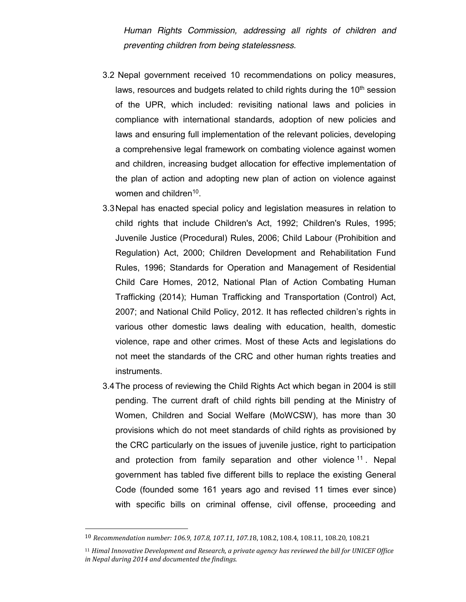*Human Rights Commission, addressing all rights of children and preventing children from being statelessness.* 

- 3.2 Nepal government received 10 recommendations on policy measures, laws, resources and budgets related to child rights during the 10<sup>th</sup> session of the UPR, which included: revisiting national laws and policies in compliance with international standards, adoption of new policies and laws and ensuring full implementation of the relevant policies, developing a comprehensive legal framework on combating violence against women and children, increasing budget allocation for effective implementation of the plan of action and adopting new plan of action on violence against women and children<sup>10</sup>.
- 3.3Nepal has enacted special policy and legislation measures in relation to child rights that include Children's Act, 1992; Children's Rules, 1995; Juvenile Justice (Procedural) Rules, 2006; Child Labour (Prohibition and Regulation) Act, 2000; Children Development and Rehabilitation Fund Rules, 1996; Standards for Operation and Management of Residential Child Care Homes, 2012, National Plan of Action Combating Human Trafficking (2014); Human Trafficking and Transportation (Control) Act, 2007; and National Child Policy, 2012. It has reflected children's rights in various other domestic laws dealing with education, health, domestic violence, rape and other crimes. Most of these Acts and legislations do not meet the standards of the CRC and other human rights treaties and instruments.
- 3.4The process of reviewing the Child Rights Act which began in 2004 is still pending. The current draft of child rights bill pending at the Ministry of Women, Children and Social Welfare (MoWCSW), has more than 30 provisions which do not meet standards of child rights as provisioned by the CRC particularly on the issues of juvenile justice, right to participation and protection from family separation and other violence <sup>11</sup>. Nepal government has tabled five different bills to replace the existing General Code (founded some 161 years ago and revised 11 times ever since) with specific bills on criminal offense, civil offense, proceeding and

 <sup>10</sup> *Recommendation number: 106.9, 107.8, 107.11, 107.1*8, 108.2, 108.4, 108.11, 108.20, 108.21

<sup>11</sup> *Himal Innovative Development and Research, a private agency has reviewed the bill for UNICEF Office in Nepal during 2014 and documented the findings.*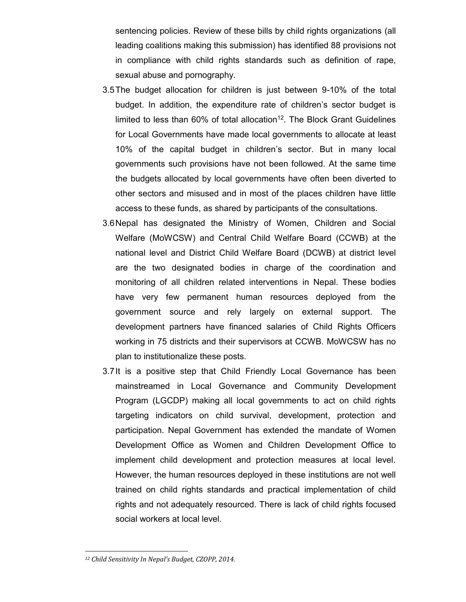sentencing policies. Review of these bills by child rights organizations (all leading coalitions making this submission) has identified 88 provisions not in compliance with child rights standards such as definition of rape, sexual abuse and pornography.

- 3.5The budget allocation for children is just between 9-10% of the total budget. In addition, the expenditure rate of children's sector budget is limited to less than  $60\%$  of total allocation<sup>12</sup>. The Block Grant Guidelines for Local Governments have made local governments to allocate at least 10% of the capital budget in children's sector. But in many local governments such provisions have not been followed. At the same time the budgets allocated by local governments have often been diverted to other sectors and misused and in most of the places children have little access to these funds, as shared by participants of the consultations.
- 3.6Nepal has designated the Ministry of Women, Children and Social Welfare (MoWCSW) and Central Child Welfare Board (CCWB) at the national level and District Child Welfare Board (DCWB) at district level are the two designated bodies in charge of the coordination and monitoring of all children related interventions in Nepal. These bodies have very few permanent human resources deployed from the government source and rely largely on external support. The development partners have financed salaries of Child Rights Officers working in 75 districts and their supervisors at CCWB. MoWCSW has no plan to institutionalize these posts.
- 3.7It is a positive step that Child Friendly Local Governance has been mainstreamed in Local Governance and Community Development Program (LGCDP) making all local governments to act on child rights targeting indicators on child survival, development, protection and participation. Nepal Government has extended the mandate of Women Development Office as Women and Children Development Office to implement child development and protection measures at local level. However, the human resources deployed in these institutions are not well trained on child rights standards and practical implementation of child rights and not adequately resourced. There is lack of child rights focused social workers at local level.

*<sup>12</sup> Child Sensitivity In Nepal's Budget, CZOPP, 2014.*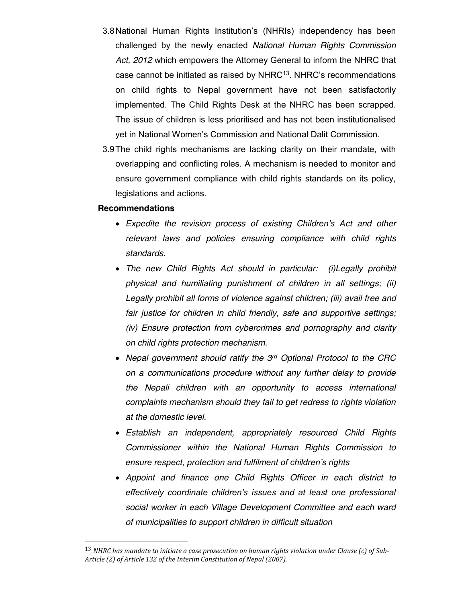- 3.8National Human Rights Institution's (NHRIs) independency has been challenged by the newly enacted *National Human Rights Commission Act, 2012* which empowers the Attorney General to inform the NHRC that case cannot be initiated as raised by NHRC<sup>13</sup>. NHRC's recommendations on child rights to Nepal government have not been satisfactorily implemented. The Child Rights Desk at the NHRC has been scrapped. The issue of children is less prioritised and has not been institutionalised yet in National Women's Commission and National Dalit Commission.
- 3.9The child rights mechanisms are lacking clarity on their mandate, with overlapping and conflicting roles. A mechanism is needed to monitor and ensure government compliance with child rights standards on its policy, legislations and actions.

#### **Recommendations**

- x *Expedite the revision process of existing Children's Act and other relevant laws and policies ensuring compliance with child rights standards.*
- x *The new Child Rights Act should in particular: (i)Legally prohibit physical and humiliating punishment of children in all settings; (ii) Legally prohibit all forms of violence against children; (iii) avail free and fair justice for children in child friendly, safe and supportive settings; (iv) Ensure protection from cybercrimes and pornography and clarity on child rights protection mechanism.*
- x *Nepal government should ratify the 3rd Optional Protocol to the CRC on a communications procedure without any further delay to provide the Nepali children with an opportunity to access international complaints mechanism should they fail to get redress to rights violation at the domestic level.*
- x *Establish an independent, appropriately resourced Child Rights Commissioner within the National Human Rights Commission to ensure respect, protection and fulfilment of children's rights*
- x *Appoint and finance one Child Rights Officer in each district to effectively coordinate children's issues and at least one professional social worker in each Village Development Committee and each ward of municipalities to support children in difficult situation*

 <sup>13</sup> *NHRC has mandate to initiate a case prosecution on human rights violation under Clause (c) of Sub-Article (2) of Article 132 of the Interim Constitution of Nepal (2007).*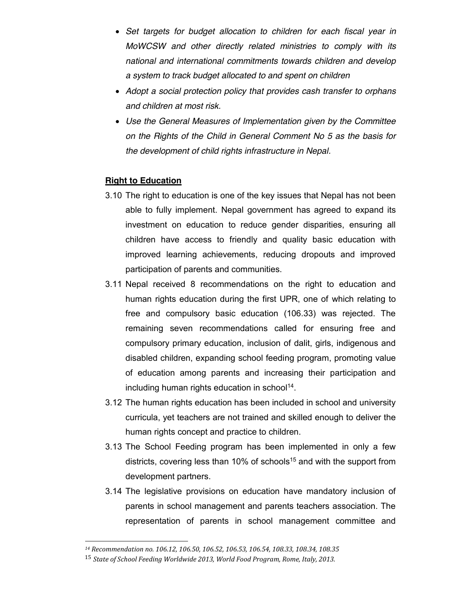- x *Set targets for budget allocation to children for each fiscal year in MoWCSW and other directly related ministries to comply with its national and international commitments towards children and develop a system to track budget allocated to and spent on children*
- x *Adopt a social protection policy that provides cash transfer to orphans and children at most risk.*
- x *Use the General Measures of Implementation given by the Committee on the Rights of the Child in General Comment No 5 as the basis for the development of child rights infrastructure in Nepal.*

### **Right to Education**

- 3.10 The right to education is one of the key issues that Nepal has not been able to fully implement. Nepal government has agreed to expand its investment on education to reduce gender disparities, ensuring all children have access to friendly and quality basic education with improved learning achievements, reducing dropouts and improved participation of parents and communities.
- 3.11 Nepal received 8 recommendations on the right to education and human rights education during the first UPR, one of which relating to free and compulsory basic education (106.33) was rejected. The remaining seven recommendations called for ensuring free and compulsory primary education, inclusion of dalit, girls, indigenous and disabled children, expanding school feeding program, promoting value of education among parents and increasing their participation and including human rights education in school<sup>14</sup>.
- 3.12 The human rights education has been included in school and university curricula, yet teachers are not trained and skilled enough to deliver the human rights concept and practice to children.
- 3.13 The School Feeding program has been implemented in only a few districts, covering less than 10% of schools<sup>15</sup> and with the support from development partners.
- 3.14 The legislative provisions on education have mandatory inclusion of parents in school management and parents teachers association. The representation of parents in school management committee and

*<sup>14</sup> Recommendation no. 106.12, 106.50, 106.52, 106.53, 106.54, 108.33, 108.34, 108.35*

<sup>15</sup> *State of School Feeding Worldwide 2013, World Food Program, Rome, Italy, 2013.*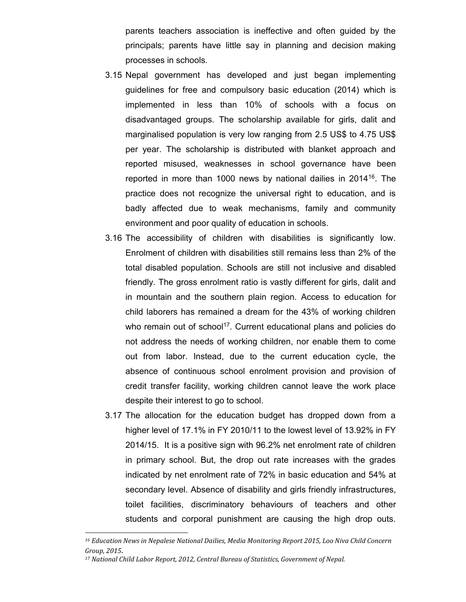parents teachers association is ineffective and often guided by the principals; parents have little say in planning and decision making processes in schools.

- 3.15 Nepal government has developed and just began implementing guidelines for free and compulsory basic education (2014) which is implemented in less than 10% of schools with a focus on disadvantaged groups. The scholarship available for girls, dalit and marginalised population is very low ranging from 2.5 US\$ to 4.75 US\$ per year. The scholarship is distributed with blanket approach and reported misused, weaknesses in school governance have been reported in more than 1000 news by national dailies in 201416. The practice does not recognize the universal right to education, and is badly affected due to weak mechanisms, family and community environment and poor quality of education in schools.
- 3.16 The accessibility of children with disabilities is significantly low. Enrolment of children with disabilities still remains less than 2% of the total disabled population. Schools are still not inclusive and disabled friendly. The gross enrolment ratio is vastly different for girls, dalit and in mountain and the southern plain region. Access to education for child laborers has remained a dream for the 43% of working children who remain out of school<sup>17</sup>. Current educational plans and policies do not address the needs of working children, nor enable them to come out from labor. Instead, due to the current education cycle, the absence of continuous school enrolment provision and provision of credit transfer facility, working children cannot leave the work place despite their interest to go to school.
- 3.17 The allocation for the education budget has dropped down from a higher level of 17.1% in FY 2010/11 to the lowest level of 13.92% in FY 2014/15. It is a positive sign with 96.2% net enrolment rate of children in primary school. But, the drop out rate increases with the grades indicated by net enrolment rate of 72% in basic education and 54% at secondary level. Absence of disability and girls friendly infrastructures, toilet facilities, discriminatory behaviours of teachers and other students and corporal punishment are causing the high drop outs.

*<sup>16</sup> Education News in Nepalese National Dailies, Media Monitoring Report 2015, Loo Niva Child Concern Group, 2015*.

*<sup>17</sup> National Child Labor Report, 2012, Central Bureau of Statistics, Government of Nepal.*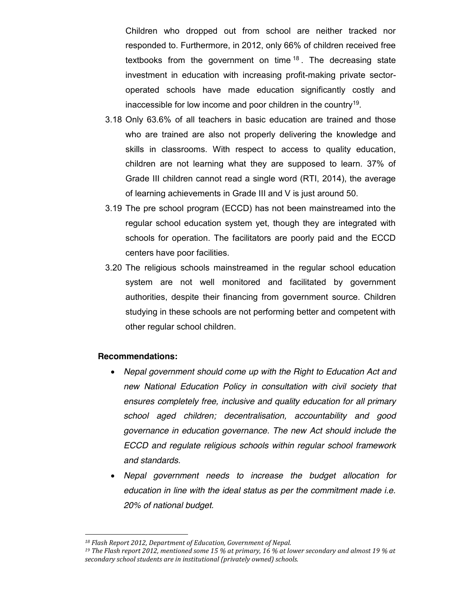Children who dropped out from school are neither tracked nor responded to. Furthermore, in 2012, only 66% of children received free textbooks from the government on time <sup>18</sup> . The decreasing state investment in education with increasing profit-making private sectoroperated schools have made education significantly costly and inaccessible for low income and poor children in the country<sup>19</sup>.

- 3.18 Only 63.6% of all teachers in basic education are trained and those who are trained are also not properly delivering the knowledge and skills in classrooms. With respect to access to quality education, children are not learning what they are supposed to learn. 37% of Grade III children cannot read a single word (RTI, 2014), the average of learning achievements in Grade III and V is just around 50.
- 3.19 The pre school program (ECCD) has not been mainstreamed into the regular school education system yet, though they are integrated with schools for operation. The facilitators are poorly paid and the ECCD centers have poor facilities.
- 3.20 The religious schools mainstreamed in the regular school education system are not well monitored and facilitated by government authorities, despite their financing from government source. Children studying in these schools are not performing better and competent with other regular school children.

#### **Recommendations:**

- x *Nepal government should come up with the Right to Education Act and new National Education Policy in consultation with civil society that ensures completely free, inclusive and quality education for all primary school aged children; decentralisation, accountability and good governance in education governance. The new Act should include the ECCD and regulate religious schools within regular school framework and standards.*
- x *Nepal government needs to increase the budget allocation for education in line with the ideal status as per the commitment made i.e. 20% of national budget.*

*<sup>18</sup> Flash Report 2012, Department of Education, Government of Nepal.*

*<sup>19</sup> The Flash report 2012, mentioned some 15 % at primary, 16 % at lower secondary and almost 19 % at secondary school students are in institutional (privately owned) schools.*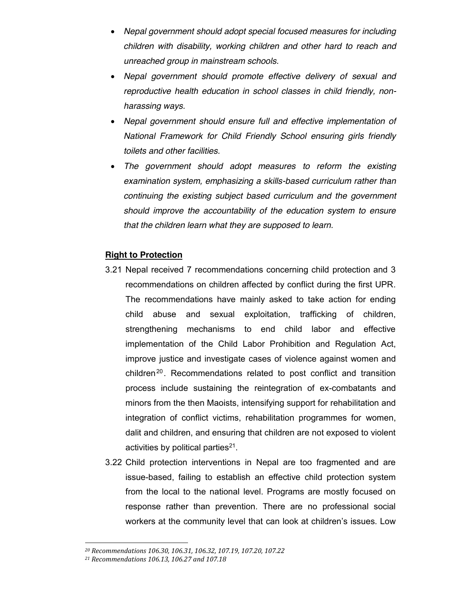- x *Nepal government should adopt special focused measures for including children with disability, working children and other hard to reach and unreached group in mainstream schools.*
- x *Nepal government should promote effective delivery of sexual and reproductive health education in school classes in child friendly, nonharassing ways.*
- x *Nepal government should ensure full and effective implementation of National Framework for Child Friendly School ensuring girls friendly toilets and other facilities.*
- x *The government should adopt measures to reform the existing examination system, emphasizing a skills-based curriculum rather than continuing the existing subject based curriculum and the government should improve the accountability of the education system to ensure that the children learn what they are supposed to learn.*

## **Right to Protection**

- 3.21 Nepal received 7 recommendations concerning child protection and 3 recommendations on children affected by conflict during the first UPR. The recommendations have mainly asked to take action for ending child abuse and sexual exploitation, trafficking of children, strengthening mechanisms to end child labor and effective implementation of the Child Labor Prohibition and Regulation Act, improve justice and investigate cases of violence against women and children<sup>20</sup>. Recommendations related to post conflict and transition process include sustaining the reintegration of ex-combatants and minors from the then Maoists, intensifying support for rehabilitation and integration of conflict victims, rehabilitation programmes for women, dalit and children, and ensuring that children are not exposed to violent activities by political parties $21$ .
- 3.22 Child protection interventions in Nepal are too fragmented and are issue-based, failing to establish an effective child protection system from the local to the national level. Programs are mostly focused on response rather than prevention. There are no professional social workers at the community level that can look at children's issues. Low

*<sup>20</sup> Recommendations 106.30, 106.31, 106.32, 107.19, 107.20, 107.22*

*<sup>21</sup> Recommendations 106.13, 106.27 and 107.18*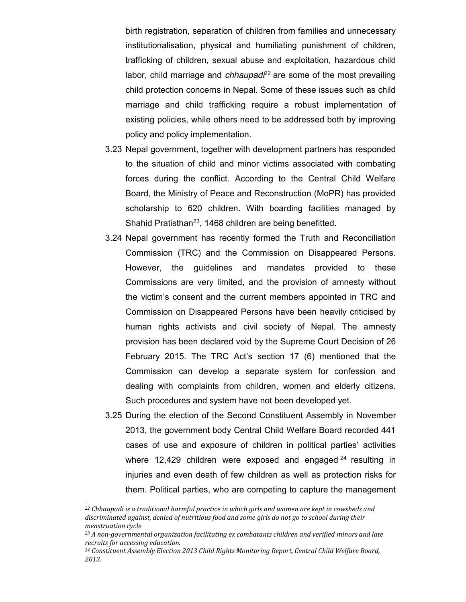birth registration, separation of children from families and unnecessary institutionalisation, physical and humiliating punishment of children, trafficking of children, sexual abuse and exploitation, hazardous child labor, child marriage and *chhaupad*<sup>22</sup> are some of the most prevailing child protection concerns in Nepal. Some of these issues such as child marriage and child trafficking require a robust implementation of existing policies, while others need to be addressed both by improving policy and policy implementation.

- 3.23 Nepal government, together with development partners has responded to the situation of child and minor victims associated with combating forces during the conflict. According to the Central Child Welfare Board, the Ministry of Peace and Reconstruction (MoPR) has provided scholarship to 620 children. With boarding facilities managed by Shahid Pratisthan<sup>23</sup>, 1468 children are being benefitted.
- 3.24 Nepal government has recently formed the Truth and Reconciliation Commission (TRC) and the Commission on Disappeared Persons. However, the guidelines and mandates provided to these Commissions are very limited, and the provision of amnesty without the victim's consent and the current members appointed in TRC and Commission on Disappeared Persons have been heavily criticised by human rights activists and civil society of Nepal. The amnesty provision has been declared void by the Supreme Court Decision of 26 February 2015. The TRC Act's section 17 (6) mentioned that the Commission can develop a separate system for confession and dealing with complaints from children, women and elderly citizens. Such procedures and system have not been developed yet.
- 3.25 During the election of the Second Constituent Assembly in November 2013, the government body Central Child Welfare Board recorded 441 cases of use and exposure of children in political parties' activities where 12,429 children were exposed and engaged  $24$  resulting in injuries and even death of few children as well as protection risks for them. Political parties, who are competing to capture the management

l

*<sup>22</sup> Chhaupadi is a traditional harmful practice in which girls and women are kept in cowsheds and discriminated against, denied of nutritious food and some girls do not go to school during their menstruation cycle*

*<sup>23</sup> A non-governmental organization facilitating ex combatants children and verified minors and late recruits for accessing education.*

*<sup>24</sup> Constituent Assembly Election 2013 Child Rights Monitoring Report, Central Child Welfare Board, 2013.*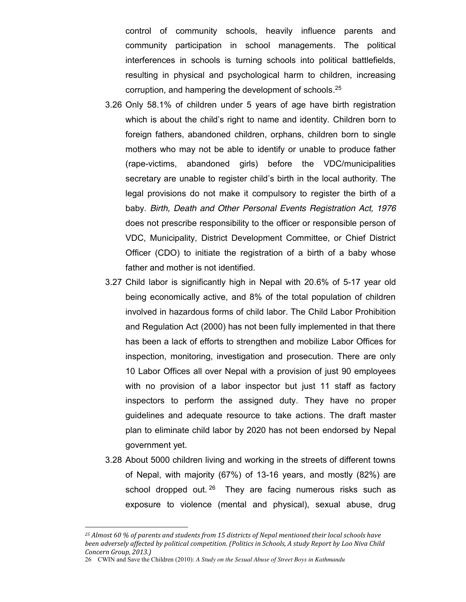control of community schools, heavily influence parents and community participation in school managements. The political interferences in schools is turning schools into political battlefields, resulting in physical and psychological harm to children, increasing corruption, and hampering the development of schools. 25

- 3.26 Only 58.1% of children under 5 years of age have birth registration which is about the child's right to name and identity. Children born to foreign fathers, abandoned children, orphans, children born to single mothers who may not be able to identify or unable to produce father (rape-victims, abandoned girls) before the VDC/municipalities secretary are unable to register child's birth in the local authority. The legal provisions do not make it compulsory to register the birth of a baby. *Birth, Death and Other Personal Events Registration Act, 1976*  does not prescribe responsibility to the officer or responsible person of VDC, Municipality, District Development Committee, or Chief District Officer (CDO) to initiate the registration of a birth of a baby whose father and mother is not identified.
- 3.27 Child labor is significantly high in Nepal with 20.6% of 5-17 year old being economically active, and 8% of the total population of children involved in hazardous forms of child labor. The Child Labor Prohibition and Regulation Act (2000) has not been fully implemented in that there has been a lack of efforts to strengthen and mobilize Labor Offices for inspection, monitoring, investigation and prosecution. There are only 10 Labor Offices all over Nepal with a provision of just 90 employees with no provision of a labor inspector but just 11 staff as factory inspectors to perform the assigned duty. They have no proper guidelines and adequate resource to take actions. The draft master plan to eliminate child labor by 2020 has not been endorsed by Nepal government yet.
- 3.28 About 5000 children living and working in the streets of different towns of Nepal, with majority (67%) of 13-16 years, and mostly (82%) are school dropped out. <sup>26</sup> They are facing numerous risks such as exposure to violence (mental and physical), sexual abuse, drug

*<sup>25</sup> Almost 60 % of parents and students from 15 districts of Nepal mentioned their local schools have been adversely affected by political competition. (Politics in Schools, A study Report by Loo Niva Child Concern Group, 2013.)* 

<sup>26</sup> CWIN and Save the Children (2010): *A Study on the Sexual Abuse of Street Boys in Kathmandu*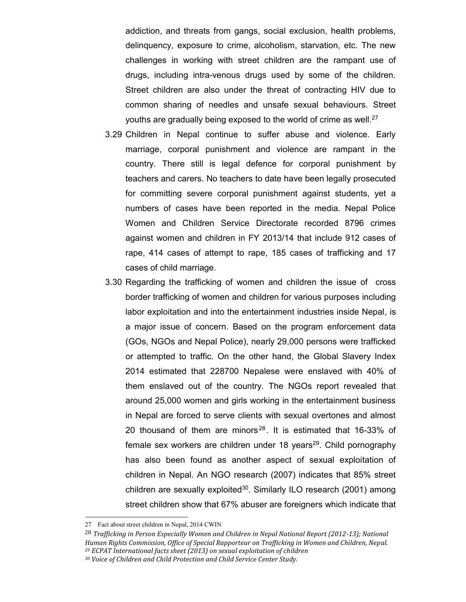addiction, and threats from gangs, social exclusion, health problems, delinquency, exposure to crime, alcoholism, starvation, etc. The new challenges in working with street children are the rampant use of drugs, including intra-venous drugs used by some of the children. Street children are also under the threat of contracting HIV due to common sharing of needles and unsafe sexual behaviours. Street youths are gradually being exposed to the world of crime as well.<sup>27</sup>

- 3.29 Children in Nepal continue to suffer abuse and violence. Early marriage, corporal punishment and violence are rampant in the country. There still is legal defence for corporal punishment by teachers and carers. No teachers to date have been legally prosecuted for committing severe corporal punishment against students, yet a numbers of cases have been reported in the media. Nepal Police Women and Children Service Directorate recorded 8796 crimes against women and children in FY 2013/14 that include 912 cases of rape, 414 cases of attempt to rape, 185 cases of trafficking and 17 cases of child marriage.
- 3.30 Regarding the trafficking of women and children the issue of cross border trafficking of women and children for various purposes including labor exploitation and into the entertainment industries inside Nepal, is a major issue of concern. Based on the program enforcement data (GOs, NGOs and Nepal Police), nearly 29,000 persons were trafficked or attempted to traffic. On the other hand, the Global Slavery Index 2014 estimated that 228700 Nepalese were enslaved with 40% of them enslaved out of the country. The NGOs report revealed that around 25,000 women and girls working in the entertainment business in Nepal are forced to serve clients with sexual overtones and almost 20 thousand of them are minors<sup>28</sup>. It is estimated that 16-33% of female sex workers are children under 18 years<sup>29</sup>. Child pornography has also been found as another aspect of sexual exploitation of children in Nepal. An NGO research (2007) indicates that 85% street children are sexually exploited<sup>30</sup>. Similarly ILO research (2001) among street children show that 67% abuser are foreigners which indicate that

<sup>27</sup> Fact about street children in Nepal, 2014 CWIN

<sup>28</sup> *Trafficking in Person Especially Women and Children in Nepal National Report (2012-13); National Human Rights Commission, Office of Special Rapporteur on Trafficking in Women and Children, Nepal. 29 ECPAT International facts sheet (2013) on sexual exploitation of children*

*<sup>30</sup> Voice of Children and Child Protection and Child Service Center Study.*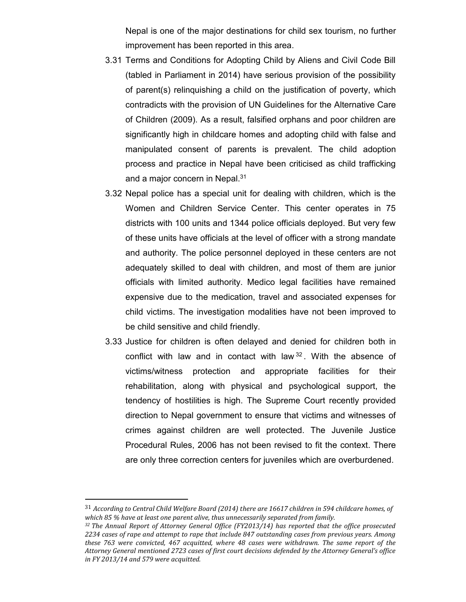Nepal is one of the major destinations for child sex tourism, no further improvement has been reported in this area.

- 3.31 Terms and Conditions for Adopting Child by Aliens and Civil Code Bill (tabled in Parliament in 2014) have serious provision of the possibility of parent(s) relinquishing a child on the justification of poverty, which contradicts with the provision of UN Guidelines for the Alternative Care of Children (2009). As a result, falsified orphans and poor children are significantly high in childcare homes and adopting child with false and manipulated consent of parents is prevalent. The child adoption process and practice in Nepal have been criticised as child trafficking and a major concern in Nepal.<sup>31</sup>
- 3.32 Nepal police has a special unit for dealing with children, which is the Women and Children Service Center. This center operates in 75 districts with 100 units and 1344 police officials deployed. But very few of these units have officials at the level of officer with a strong mandate and authority. The police personnel deployed in these centers are not adequately skilled to deal with children, and most of them are junior officials with limited authority. Medico legal facilities have remained expensive due to the medication, travel and associated expenses for child victims. The investigation modalities have not been improved to be child sensitive and child friendly.
- 3.33 Justice for children is often delayed and denied for children both in conflict with law and in contact with law <sup>32</sup> . With the absence of victims/witness protection and appropriate facilities for their rehabilitation, along with physical and psychological support, the tendency of hostilities is high. The Supreme Court recently provided direction to Nepal government to ensure that victims and witnesses of crimes against children are well protected. The Juvenile Justice Procedural Rules, 2006 has not been revised to fit the context. There are only three correction centers for juveniles which are overburdened.

 <sup>31</sup> *According to Central Child Welfare Board (2014) there are 16617 children in 594 childcare homes, of which 85 % have at least one parent alive, thus unnecessarily separated from family. 32 The Annual Report of Attorney General Office (FY2013/14) has reported that the office prosecuted* 

*<sup>2234</sup> cases of rape and attempt to rape that include 847 outstanding cases from previous years. Among these 763 were convicted, 467 acquitted, where 48 cases were withdrawn. The same report of the Attorney General mentioned 2723 cases of first court decisions defended by the Attorney General's office in FY 2013/14 and 579 were acquitted.*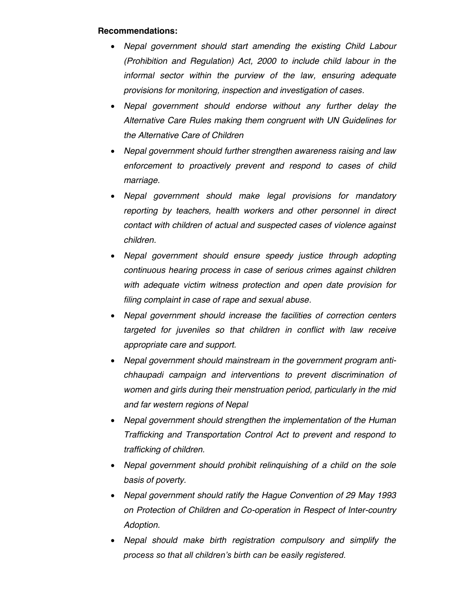### **Recommendations:**

- x *Nepal government should start amending the existing Child Labour (Prohibition and Regulation) Act, 2000 to include child labour in the informal sector within the purview of the law, ensuring adequate provisions for monitoring, inspection and investigation of cases.*
- x *Nepal government should endorse without any further delay the Alternative Care Rules making them congruent with UN Guidelines for the Alternative Care of Children*
- x *Nepal government should further strengthen awareness raising and law enforcement to proactively prevent and respond to cases of child marriage.*
- x *Nepal government should make legal provisions for mandatory reporting by teachers, health workers and other personnel in direct contact with children of actual and suspected cases of violence against children.*
- x *Nepal government should ensure speedy justice through adopting continuous hearing process in case of serious crimes against children with adequate victim witness protection and open date provision for filing complaint in case of rape and sexual abuse.*
- x *Nepal government should increase the facilities of correction centers targeted for juveniles so that children in conflict with law receive appropriate care and support.*
- x *Nepal government should mainstream in the government program antichhaupadi campaign and interventions to prevent discrimination of women and girls during their menstruation period, particularly in the mid and far western regions of Nepal*
- x *Nepal government should strengthen the implementation of the Human Trafficking and Transportation Control Act to prevent and respond to trafficking of children.*
- x *Nepal government should prohibit relinquishing of a child on the sole basis of poverty.*
- x *Nepal government should ratify the Hague Convention of 29 May 1993 on Protection of Children and Co-operation in Respect of Inter-country Adoption.*
- x *Nepal should make birth registration compulsory and simplify the process so that all children's birth can be easily registered.*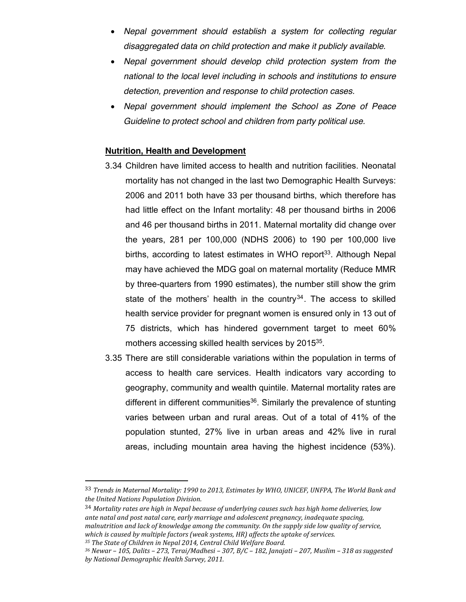- x *Nepal government should establish a system for collecting regular disaggregated data on child protection and make it publicly available.*
- x *Nepal government should develop child protection system from the national to the local level including in schools and institutions to ensure detection, prevention and response to child protection cases.*
- x *Nepal government should implement the School as Zone of Peace Guideline to protect school and children from party political use.*

#### **Nutrition, Health and Development**

- 3.34 Children have limited access to health and nutrition facilities. Neonatal mortality has not changed in the last two Demographic Health Surveys: 2006 and 2011 both have 33 per thousand births, which therefore has had little effect on the Infant mortality: 48 per thousand births in 2006 and 46 per thousand births in 2011. Maternal mortality did change over the years, 281 per 100,000 (NDHS 2006) to 190 per 100,000 live births, according to latest estimates in WHO report<sup>33</sup>. Although Nepal may have achieved the MDG goal on maternal mortality (Reduce MMR by three-quarters from 1990 estimates), the number still show the grim state of the mothers' health in the country  $34$ . The access to skilled health service provider for pregnant women is ensured only in 13 out of 75 districts, which has hindered government target to meet 60% mothers accessing skilled health services by 2015<sup>35</sup>.
- 3.35 There are still considerable variations within the population in terms of access to health care services. Health indicators vary according to geography, community and wealth quintile. Maternal mortality rates are different in different communities<sup>36</sup>. Similarly the prevalence of stunting varies between urban and rural areas. Out of a total of 41% of the population stunted, 27% live in urban areas and 42% live in rural areas, including mountain area having the highest incidence (53%).

 <sup>33</sup> *Trends in Maternal Mortality: 1990 to 2013, Estimates by WHO, UNICEF, UNFPA, The World Bank and the United Nations Population Division.*

<sup>34</sup> *Mortality rates are high in Nepal because of underlying causes such has high home deliveries, low ante natal and post natal care, early marriage and adolescent pregnancy, inadequate spacing, malnutrition and lack of knowledge among the community. On the supply side low quality of service, which is caused by multiple factors (weak systems, HR) affects the uptake of services.*

*<sup>35</sup> The State of Children in Nepal 2014, Central Child Welfare Board.*

*<sup>36</sup> Newar – 105, Dalits – 273, Terai/Madhesi – 307, B/C – 182, Janajati – 207, Muslim – 318 as suggested by National Demographic Health Survey, 2011.*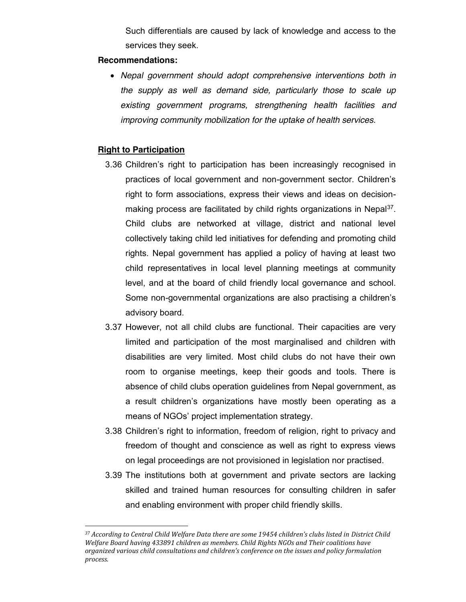Such differentials are caused by lack of knowledge and access to the services they seek.

### **Recommendations:**

x *Nepal government should adopt comprehensive interventions both in the supply as well as demand side, particularly those to scale up existing government programs, strengthening health facilities and improving community mobilization for the uptake of health services.*

### **Right to Participation**

- 3.36 Children's right to participation has been increasingly recognised in practices of local government and non-government sector. Children's right to form associations, express their views and ideas on decisionmaking process are facilitated by child rights organizations in Nepal<sup>37</sup>. Child clubs are networked at village, district and national level collectively taking child led initiatives for defending and promoting child rights. Nepal government has applied a policy of having at least two child representatives in local level planning meetings at community level, and at the board of child friendly local governance and school. Some non-governmental organizations are also practising a children's advisory board.
- 3.37 However, not all child clubs are functional. Their capacities are very limited and participation of the most marginalised and children with disabilities are very limited. Most child clubs do not have their own room to organise meetings, keep their goods and tools. There is absence of child clubs operation guidelines from Nepal government, as a result children's organizations have mostly been operating as a means of NGOs' project implementation strategy.
- 3.38 Children's right to information, freedom of religion, right to privacy and freedom of thought and conscience as well as right to express views on legal proceedings are not provisioned in legislation nor practised.
- 3.39 The institutions both at government and private sectors are lacking skilled and trained human resources for consulting children in safer and enabling environment with proper child friendly skills.

*<sup>37</sup> According to Central Child Welfare Data there are some 19454 children's clubs listed in District Child Welfare Board having 433891 children as members. Child Rights NGOs and Their coalitions have organized various child consultations and children's conference on the issues and policy formulation process.*